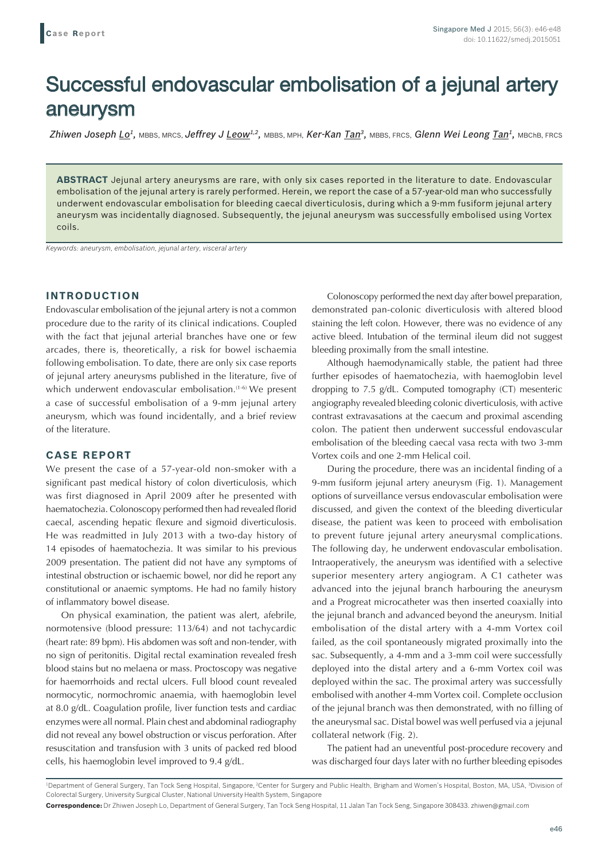# Successful endovascular embolisation of a jejunal artery aneurysm

*Zhiwen Joseph Lo1,* MBBS, MRCS, *Jeffrey J Leow1,2,* MBBS, MPH, *Ker-Kan Tan3,* MBBS, FRCS, *Glenn Wei Leong Tan1,* MBChB, FRCS

**ABSTRACT** Jejunal artery aneurysms are rare, with only six cases reported in the literature to date. Endovascular embolisation of the jejunal artery is rarely performed. Herein, we report the case of a 57-year-old man who successfully underwent endovascular embolisation for bleeding caecal diverticulosis, during which a 9-mm fusiform jejunal artery aneurysm was incidentally diagnosed. Subsequently, the jejunal aneurysm was successfully embolised using Vortex coils.

*Keywords: aneurysm, embolisation, jejunal artery, visceral artery*

### **INTRODUCTION**

Endovascular embolisation of the jejunal artery is not a common procedure due to the rarity of its clinical indications. Coupled with the fact that jejunal arterial branches have one or few arcades, there is, theoretically, a risk for bowel ischaemia following embolisation. To date, there are only six case reports of jejunal artery aneurysms published in the literature, five of which underwent endovascular embolisation.<sup>(1-6)</sup> We present a case of successful embolisation of a 9-mm jejunal artery aneurysm, which was found incidentally, and a brief review of the literature.

## **CASE REPORT**

We present the case of a 57-year-old non-smoker with a significant past medical history of colon diverticulosis, which was first diagnosed in April 2009 after he presented with haematochezia. Colonoscopy performed then had revealed florid caecal, ascending hepatic flexure and sigmoid diverticulosis. He was readmitted in July 2013 with a two-day history of 14 episodes of haematochezia. It was similar to his previous 2009 presentation. The patient did not have any symptoms of intestinal obstruction or ischaemic bowel, nor did he report any constitutional or anaemic symptoms. He had no family history of inflammatory bowel disease.

On physical examination, the patient was alert, afebrile, normotensive (blood pressure: 113/64) and not tachycardic (heart rate: 89 bpm). His abdomen was soft and non-tender, with no sign of peritonitis. Digital rectal examination revealed fresh blood stains but no melaena or mass. Proctoscopy was negative for haemorrhoids and rectal ulcers. Full blood count revealed normocytic, normochromic anaemia, with haemoglobin level at 8.0 g/dL. Coagulation profile, liver function tests and cardiac enzymes were all normal. Plain chest and abdominal radiography did not reveal any bowel obstruction or viscus perforation. After resuscitation and transfusion with 3 units of packed red blood cells, his haemoglobin level improved to 9.4 g/dL.

Colonoscopy performed the next day after bowel preparation, demonstrated pan-colonic diverticulosis with altered blood staining the left colon. However, there was no evidence of any active bleed. Intubation of the terminal ileum did not suggest bleeding proximally from the small intestine.

Although haemodynamically stable, the patient had three further episodes of haematochezia, with haemoglobin level dropping to 7.5 g/dL. Computed tomography (CT) mesenteric angiography revealed bleeding colonic diverticulosis, with active contrast extravasations at the caecum and proximal ascending colon. The patient then underwent successful endovascular embolisation of the bleeding caecal vasa recta with two 3-mm Vortex coils and one 2-mm Helical coil.

During the procedure, there was an incidental finding of a 9-mm fusiform jejunal artery aneurysm (Fig. 1). Management options of surveillance versus endovascular embolisation were discussed, and given the context of the bleeding diverticular disease, the patient was keen to proceed with embolisation to prevent future jejunal artery aneurysmal complications. The following day, he underwent endovascular embolisation. Intraoperatively, the aneurysm was identified with a selective superior mesentery artery angiogram. A C1 catheter was advanced into the jejunal branch harbouring the aneurysm and a Progreat microcatheter was then inserted coaxially into the jejunal branch and advanced beyond the aneurysm. Initial embolisation of the distal artery with a 4-mm Vortex coil failed, as the coil spontaneously migrated proximally into the sac. Subsequently, a 4-mm and a 3-mm coil were successfully deployed into the distal artery and a 6-mm Vortex coil was deployed within the sac. The proximal artery was successfully embolised with another 4-mm Vortex coil. Complete occlusion of the jejunal branch was then demonstrated, with no filling of the aneurysmal sac. Distal bowel was well perfused via a jejunal collateral network (Fig. 2).

The patient had an uneventful post-procedure recovery and was discharged four days later with no further bleeding episodes

<sup>&</sup>lt;sup>1</sup>Department of General Surgery, Tan Tock Seng Hospital, Singapore, <sup>2</sup>Center for Surgery and Public Health, Brigham and Women's Hospital, Boston, MA, USA, <sup>3</sup>Division of Colorectal Surgery, University Surgical Cluster, National University Health System, Singapore

**Correspondence:** Dr Zhiwen Joseph Lo, Department of General Surgery, Tan Tock Seng Hospital, 11 Jalan Tan Tock Seng, Singapore 308433. zhiwen@gmail.com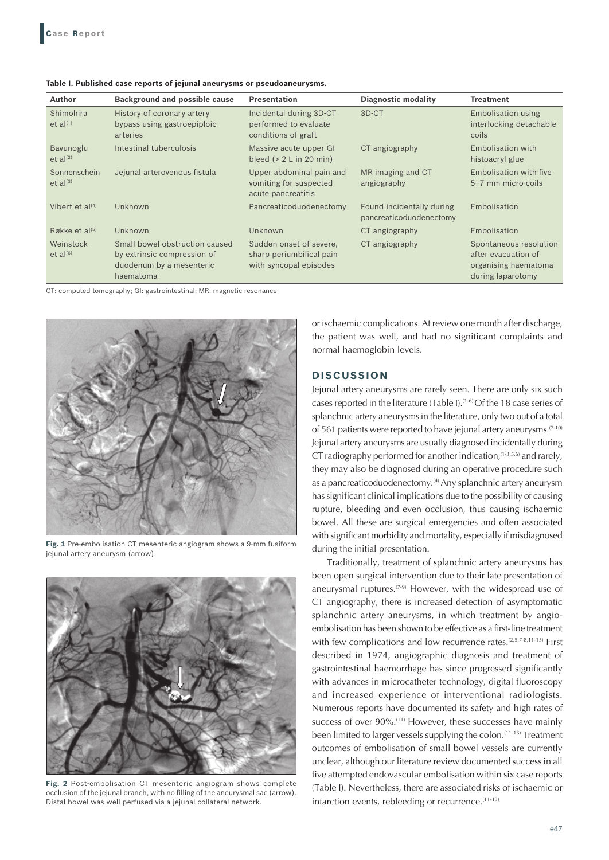| Author                            | <b>Background and possible cause</b>                                                                   | <b>Presentation</b>                                                           | <b>Diagnostic modality</b>                           | <b>Treatment</b>                                                                           |
|-----------------------------------|--------------------------------------------------------------------------------------------------------|-------------------------------------------------------------------------------|------------------------------------------------------|--------------------------------------------------------------------------------------------|
| Shimohira<br>et $al^{(1)}$        | History of coronary artery<br>bypass using gastroepiploic<br>arteries                                  | Incidental during 3D-CT<br>performed to evaluate<br>conditions of graft       | 3D-CT                                                | <b>Embolisation using</b><br>interlocking detachable<br>coils                              |
| Bavunoglu<br>et al <sup>(2)</sup> | Intestinal tuberculosis                                                                                | Massive acute upper GI<br>bleed $(> 2 L in 20 min)$                           | CT angiography                                       | Embolisation with<br>histoacryl glue                                                       |
| Sonnenschein<br>$et al^{(3)}$     | Jejunal arterovenous fistula                                                                           | Upper abdominal pain and<br>vomiting for suspected<br>acute pancreatitis      | MR imaging and CT<br>angiography                     | Embolisation with five<br>5-7 mm micro-coils                                               |
| Vibert et $al^{(4)}$              | Unknown                                                                                                | Pancreaticoduodenectomy                                                       | Found incidentally during<br>pancreaticoduodenectomy | Embolisation                                                                               |
| Røkke et al(5)                    | Unknown                                                                                                | Unknown                                                                       | CT angiography                                       | Embolisation                                                                               |
| Weinstock<br>et al $(6)$          | Small bowel obstruction caused<br>by extrinsic compression of<br>duodenum by a mesenteric<br>haematoma | Sudden onset of severe,<br>sharp periumbilical pain<br>with syncopal episodes | CT angiography                                       | Spontaneous resolution<br>after evacuation of<br>organising haematoma<br>during laparotomy |

|  | Table I. Published case reports of jejunal aneurysms or pseudoaneurysms. |
|--|--------------------------------------------------------------------------|
|--|--------------------------------------------------------------------------|

CT: computed tomography; GI: gastrointestinal; MR: magnetic resonance



**Fig. 1** Pre-embolisation CT mesenteric angiogram shows a 9-mm fusiform jejunal artery aneurysm (arrow).



**Fig. 2** Post-embolisation CT mesenteric angiogram shows complete occlusion of the jejunal branch, with no filling of the aneurysmal sac (arrow). Distal bowel was well perfused via a jejunal collateral network.

or ischaemic complications. At review one month after discharge, the patient was well, and had no significant complaints and normal haemoglobin levels.

#### **DISCUSSION**

Jejunal artery aneurysms are rarely seen. There are only six such cases reported in the literature (Table I).<sup>(1-6)</sup> Of the 18 case series of splanchnic artery aneurysms in the literature, only two out of a total of 561 patients were reported to have jejunal artery aneurysms.<sup>(7-10)</sup> Jejunal artery aneurysms are usually diagnosed incidentally during CT radiography performed for another indication,  $(1-3,5,6)$  and rarely, they may also be diagnosed during an operative procedure such as a pancreaticoduodenectomy.<sup>(4)</sup> Any splanchnic artery aneurysm has significant clinical implications due to the possibility of causing rupture, bleeding and even occlusion, thus causing ischaemic bowel. All these are surgical emergencies and often associated with significant morbidity and mortality, especially if misdiagnosed during the initial presentation.

Traditionally, treatment of splanchnic artery aneurysms has been open surgical intervention due to their late presentation of aneurysmal ruptures.<sup>(7-9)</sup> However, with the widespread use of CT angiography, there is increased detection of asymptomatic splanchnic artery aneurysms, in which treatment by angioembolisation has been shown to be effective as a first-line treatment with few complications and low recurrence rates.<sup>(2,5,7-8,11-15)</sup> First described in 1974, angiographic diagnosis and treatment of gastrointestinal haemorrhage has since progressed significantly with advances in microcatheter technology, digital fluoroscopy and increased experience of interventional radiologists. Numerous reports have documented its safety and high rates of success of over 90%.<sup>(11)</sup> However, these successes have mainly been limited to larger vessels supplying the colon.<sup>(11-13)</sup> Treatment outcomes of embolisation of small bowel vessels are currently unclear, although our literature review documented success in all five attempted endovascular embolisation within six case reports (Table I). Nevertheless, there are associated risks of ischaemic or infarction events, rebleeding or recurrence.<sup>(11-13)</sup>